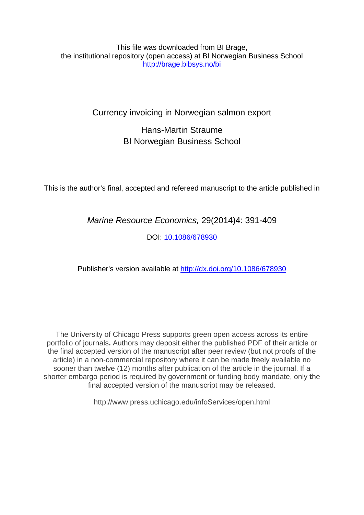#### This file was downloaded from BI Brage, the institutional repository (open access) at BI Norwegian Business School http://brage.bibsys.no/bi

## Currency invoicing in Norwegian salmon export

## Hans-Martin Straume BI Norwegian Business School

This is the author's final, accepted and refereed manuscript to the article published in

*Marine Resource Economics,* 29(2014)4: 391-409

DOI: 10.108[6/678930](http://www.jstor.org/stable/10.1086/678930)

Publisher's version available at [http://dx.doi.org/10.1086/678930](http://dx.doi.org/xxxx) 

The University of Chicago Press supports green open access across its entire portfolio of journals**.** Authors may deposit either the published PDF of their article or the final accepted version of the manuscript after peer review (but not proofs of the article) in a non-commercial repository where it can be made freely available no sooner than twelve (12) months after publication of the article in the journal. If a shorter embargo period is required by government or funding body mandate, only **t**he final accepted version of the manuscript may be released.

http://www.press.uchicago.edu/infoServices/open.html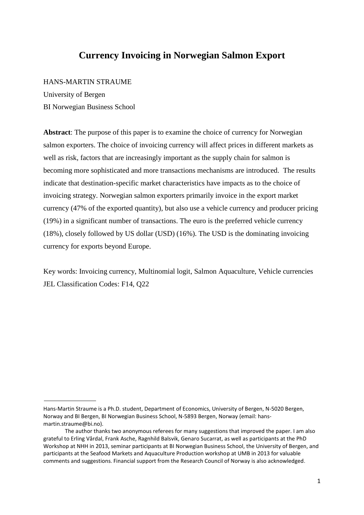## **Currency Invoicing in Norwegian Salmon Export**

#### HANS-MARTIN STRAUME

University of Bergen BI Norwegian Business School

**Abstract**: The purpose of this paper is to examine the choice of currency for Norwegian salmon exporters. The choice of invoicing currency will affect prices in different markets as well as risk, factors that are increasingly important as the supply chain for salmon is becoming more sophisticated and more transactions mechanisms are introduced. The results indicate that destination-specific market characteristics have impacts as to the choice of invoicing strategy. Norwegian salmon exporters primarily invoice in the export market currency (47% of the exported quantity), but also use a vehicle currency and producer pricing (19%) in a significant number of transactions. The euro is the preferred vehicle currency (18%), closely followed by US dollar (USD) (16%). The USD is the dominating invoicing currency for exports beyond Europe.

Key words: Invoicing currency, Multinomial logit, Salmon Aquaculture, Vehicle currencies JEL Classification Codes: F14, Q22

Hans-Martin Straume is a Ph.D. student, Department of Economics, University of Bergen, N-5020 Bergen, Norway and BI Bergen, BI Norwegian Business School, N-5893 Bergen, Norway (email: hansmartin.straume@bi.no).

The author thanks two anonymous referees for many suggestions that improved the paper. I am also grateful to Erling Vårdal, Frank Asche, Ragnhild Balsvik, Genaro Sucarrat, as well as participants at the PhD Workshop at NHH in 2013, seminar participants at BI Norwegian Business School, the University of Bergen, and participants at the Seafood Markets and Aquaculture Production workshop at UMB in 2013 for valuable comments and suggestions. Financial support from the Research Council of Norway is also acknowledged.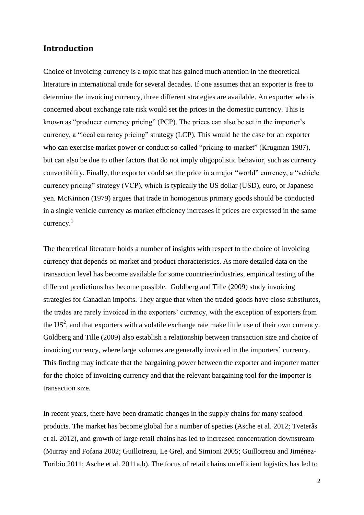#### **Introduction**

Choice of invoicing currency is a topic that has gained much attention in the theoretical literature in international trade for several decades. If one assumes that an exporter is free to determine the invoicing currency, three different strategies are available. An exporter who is concerned about exchange rate risk would set the prices in the domestic currency. This is known as "producer currency pricing" (PCP). The prices can also be set in the importer's currency, a "local currency pricing" strategy (LCP). This would be the case for an exporter who can exercise market power or conduct so-called "pricing-to-market" (Krugman 1987), but can also be due to other factors that do not imply oligopolistic behavior, such as currency convertibility. Finally, the exporter could set the price in a major "world" currency, a "vehicle currency pricing" strategy (VCP), which is typically the US dollar (USD), euro, or Japanese yen. McKinnon (1979) argues that trade in homogenous primary goods should be conducted in a single vehicle currency as market efficiency increases if prices are expressed in the same currency. 1

The theoretical literature holds a number of insights with respect to the choice of invoicing currency that depends on market and product characteristics. As more detailed data on the transaction level has become available for some countries/industries, empirical testing of the different predictions has become possible. Goldberg and Tille (2009) study invoicing strategies for Canadian imports. They argue that when the traded goods have close substitutes, the trades are rarely invoiced in the exporters' currency, with the exception of exporters from the US<sup>2</sup>, and that exporters with a volatile exchange rate make little use of their own currency. Goldberg and Tille (2009) also establish a relationship between transaction size and choice of invoicing currency, where large volumes are generally invoiced in the importers' currency. This finding may indicate that the bargaining power between the exporter and importer matter for the choice of invoicing currency and that the relevant bargaining tool for the importer is transaction size.

In recent years, there have been dramatic changes in the supply chains for many seafood products. The market has become global for a number of species (Asche et al. 2012; Tveterås et al. 2012), and growth of large retail chains has led to increased concentration downstream (Murray and Fofana 2002; Guillotreau, Le Grel, and Simioni 2005; Guillotreau and Jiménez-Toribio 2011; Asche et al. 2011a,b). The focus of retail chains on efficient logistics has led to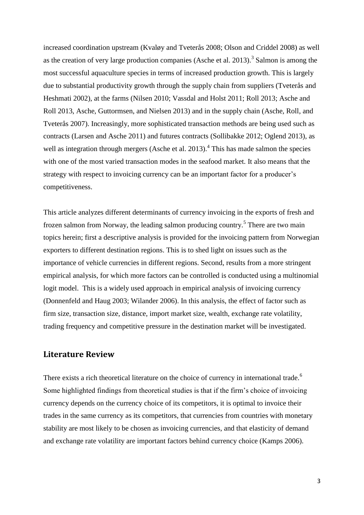increased coordination upstream (Kvaløy and Tveterås 2008; Olson and Criddel 2008) as well as the creation of very large production companies (Asche et al.  $2013$ ).<sup>3</sup> Salmon is among the most successful aquaculture species in terms of increased production growth. This is largely due to substantial productivity growth through the supply chain from suppliers (Tveterås and Heshmati 2002), at the farms (Nilsen 2010; Vassdal and Holst 2011; Roll 2013; Asche and Roll 2013, Asche, Guttormsen, and Nielsen 2013) and in the supply chain (Asche, Roll, and Tveterås 2007). Increasingly, more sophisticated transaction methods are being used such as contracts (Larsen and Asche 2011) and futures contracts (Sollibakke 2012; Oglend 2013), as well as integration through mergers (Asche et al.  $2013$ ).<sup>4</sup> This has made salmon the species with one of the most varied transaction modes in the seafood market. It also means that the strategy with respect to invoicing currency can be an important factor for a producer's competitiveness.

This article analyzes different determinants of currency invoicing in the exports of fresh and frozen salmon from Norway, the leading salmon producing country.<sup>5</sup> There are two main topics herein; first a descriptive analysis is provided for the invoicing pattern from Norwegian exporters to different destination regions. This is to shed light on issues such as the importance of vehicle currencies in different regions. Second, results from a more stringent empirical analysis, for which more factors can be controlled is conducted using a multinomial logit model. This is a widely used approach in empirical analysis of invoicing currency (Donnenfeld and Haug 2003; Wilander 2006). In this analysis, the effect of factor such as firm size, transaction size, distance, import market size, wealth, exchange rate volatility, trading frequency and competitive pressure in the destination market will be investigated.

#### **Literature Review**

There exists a rich theoretical literature on the choice of currency in international trade.<sup>6</sup> Some highlighted findings from theoretical studies is that if the firm's choice of invoicing currency depends on the currency choice of its competitors, it is optimal to invoice their trades in the same currency as its competitors, that currencies from countries with monetary stability are most likely to be chosen as invoicing currencies, and that elasticity of demand and exchange rate volatility are important factors behind currency choice (Kamps 2006).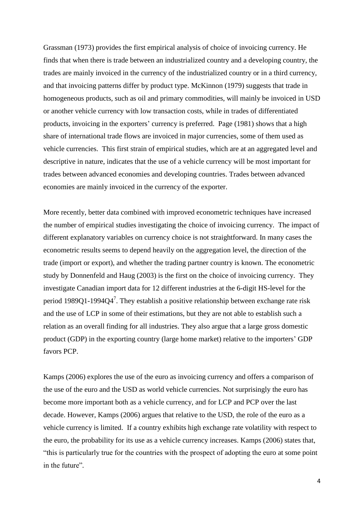Grassman (1973) provides the first empirical analysis of choice of invoicing currency. He finds that when there is trade between an industrialized country and a developing country, the trades are mainly invoiced in the currency of the industrialized country or in a third currency, and that invoicing patterns differ by product type. McKinnon (1979) suggests that trade in homogeneous products, such as oil and primary commodities, will mainly be invoiced in USD or another vehicle currency with low transaction costs, while in trades of differentiated products, invoicing in the exporters' currency is preferred. Page (1981) shows that a high share of international trade flows are invoiced in major currencies, some of them used as vehicle currencies. This first strain of empirical studies, which are at an aggregated level and descriptive in nature, indicates that the use of a vehicle currency will be most important for trades between advanced economies and developing countries. Trades between advanced economies are mainly invoiced in the currency of the exporter.

More recently, better data combined with improved econometric techniques have increased the number of empirical studies investigating the choice of invoicing currency. The impact of different explanatory variables on currency choice is not straightforward. In many cases the econometric results seems to depend heavily on the aggregation level, the direction of the trade (import or export), and whether the trading partner country is known. The econometric study by Donnenfeld and Haug (2003) is the first on the choice of invoicing currency. They investigate Canadian import data for 12 different industries at the 6-digit HS-level for the period 1989Q1-1994Q4<sup>7</sup>. They establish a positive relationship between exchange rate risk and the use of LCP in some of their estimations, but they are not able to establish such a relation as an overall finding for all industries. They also argue that a large gross domestic product (GDP) in the exporting country (large home market) relative to the importers' GDP favors PCP.

Kamps (2006) explores the use of the euro as invoicing currency and offers a comparison of the use of the euro and the USD as world vehicle currencies. Not surprisingly the euro has become more important both as a vehicle currency, and for LCP and PCP over the last decade. However, Kamps (2006) argues that relative to the USD, the role of the euro as a vehicle currency is limited. If a country exhibits high exchange rate volatility with respect to the euro, the probability for its use as a vehicle currency increases. Kamps (2006) states that, "this is particularly true for the countries with the prospect of adopting the euro at some point in the future"*.*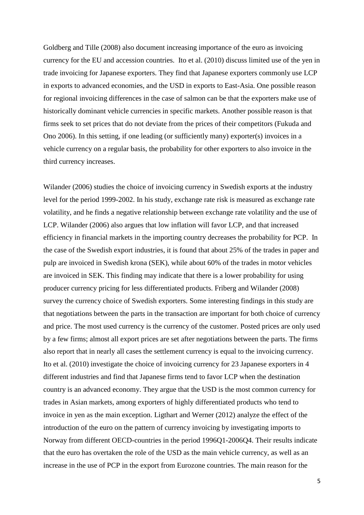Goldberg and Tille (2008) also document increasing importance of the euro as invoicing currency for the EU and accession countries. Ito et al. (2010) discuss limited use of the yen in trade invoicing for Japanese exporters. They find that Japanese exporters commonly use LCP in exports to advanced economies, and the USD in exports to East-Asia. One possible reason for regional invoicing differences in the case of salmon can be that the exporters make use of historically dominant vehicle currencies in specific markets. Another possible reason is that firms seek to set prices that do not deviate from the prices of their competitors (Fukuda and Ono 2006). In this setting, if one leading (or sufficiently many) exporter(s) invoices in a vehicle currency on a regular basis, the probability for other exporters to also invoice in the third currency increases.

Wilander (2006) studies the choice of invoicing currency in Swedish exports at the industry level for the period 1999-2002. In his study, exchange rate risk is measured as exchange rate volatility, and he finds a negative relationship between exchange rate volatility and the use of LCP. Wilander (2006) also argues that low inflation will favor LCP, and that increased efficiency in financial markets in the importing country decreases the probability for PCP. In the case of the Swedish export industries, it is found that about 25% of the trades in paper and pulp are invoiced in Swedish krona (SEK), while about 60% of the trades in motor vehicles are invoiced in SEK. This finding may indicate that there is a lower probability for using producer currency pricing for less differentiated products. Friberg and Wilander (2008) survey the currency choice of Swedish exporters. Some interesting findings in this study are that negotiations between the parts in the transaction are important for both choice of currency and price. The most used currency is the currency of the customer. Posted prices are only used by a few firms; almost all export prices are set after negotiations between the parts. The firms also report that in nearly all cases the settlement currency is equal to the invoicing currency. Ito et al. (2010) investigate the choice of invoicing currency for 23 Japanese exporters in 4 different industries and find that Japanese firms tend to favor LCP when the destination country is an advanced economy. They argue that the USD is the most common currency for trades in Asian markets, among exporters of highly differentiated products who tend to invoice in yen as the main exception. Ligthart and Werner (2012) analyze the effect of the introduction of the euro on the pattern of currency invoicing by investigating imports to Norway from different OECD-countries in the period 1996Q1-2006Q4. Their results indicate that the euro has overtaken the role of the USD as the main vehicle currency, as well as an increase in the use of PCP in the export from Eurozone countries. The main reason for the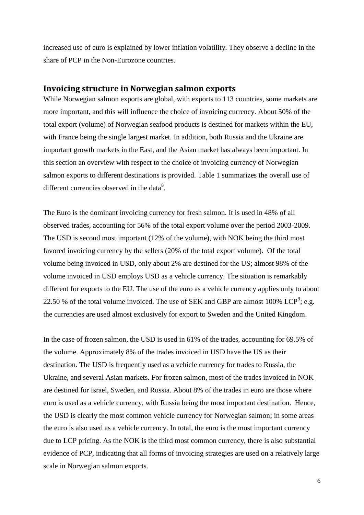increased use of euro is explained by lower inflation volatility. They observe a decline in the share of PCP in the Non-Eurozone countries.

#### **Invoicing structure in Norwegian salmon exports**

While Norwegian salmon exports are global, with exports to 113 countries, some markets are more important, and this will influence the choice of invoicing currency. About 50% of the total export (volume) of Norwegian seafood products is destined for markets within the EU, with France being the single largest market. In addition, both Russia and the Ukraine are important growth markets in the East, and the Asian market has always been important. In this section an overview with respect to the choice of invoicing currency of Norwegian salmon exports to different destinations is provided. Table 1 summarizes the overall use of different currencies observed in the data $8$ .

The Euro is the dominant invoicing currency for fresh salmon. It is used in 48% of all observed trades, accounting for 56% of the total export volume over the period 2003-2009. The USD is second most important (12% of the volume), with NOK being the third most favored invoicing currency by the sellers (20% of the total export volume). Of the total volume being invoiced in USD, only about 2% are destined for the US; almost 98% of the volume invoiced in USD employs USD as a vehicle currency. The situation is remarkably different for exports to the EU. The use of the euro as a vehicle currency applies only to about 22.50 % of the total volume invoiced. The use of SEK and GBP are almost 100% LCP<sup>9</sup>; e.g. the currencies are used almost exclusively for export to Sweden and the United Kingdom.

In the case of frozen salmon, the USD is used in 61% of the trades, accounting for 69.5% of the volume. Approximately 8% of the trades invoiced in USD have the US as their destination. The USD is frequently used as a vehicle currency for trades to Russia, the Ukraine, and several Asian markets. For frozen salmon, most of the trades invoiced in NOK are destined for Israel, Sweden, and Russia. About 8% of the trades in euro are those where euro is used as a vehicle currency, with Russia being the most important destination. Hence, the USD is clearly the most common vehicle currency for Norwegian salmon; in some areas the euro is also used as a vehicle currency. In total, the euro is the most important currency due to LCP pricing. As the NOK is the third most common currency, there is also substantial evidence of PCP, indicating that all forms of invoicing strategies are used on a relatively large scale in Norwegian salmon exports.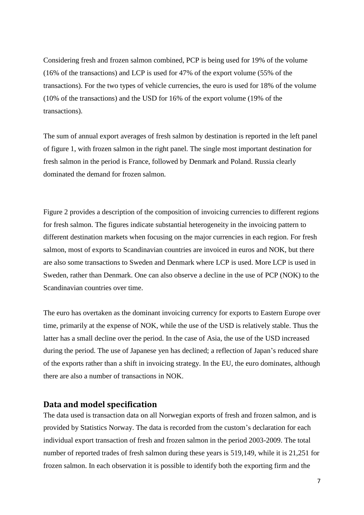Considering fresh and frozen salmon combined, PCP is being used for 19% of the volume (16% of the transactions) and LCP is used for 47% of the export volume (55% of the transactions). For the two types of vehicle currencies, the euro is used for 18% of the volume (10% of the transactions) and the USD for 16% of the export volume (19% of the transactions).

The sum of annual export averages of fresh salmon by destination is reported in the left panel of figure 1, with frozen salmon in the right panel. The single most important destination for fresh salmon in the period is France, followed by Denmark and Poland. Russia clearly dominated the demand for frozen salmon.

Figure 2 provides a description of the composition of invoicing currencies to different regions for fresh salmon. The figures indicate substantial heterogeneity in the invoicing pattern to different destination markets when focusing on the major currencies in each region. For fresh salmon, most of exports to Scandinavian countries are invoiced in euros and NOK, but there are also some transactions to Sweden and Denmark where LCP is used. More LCP is used in Sweden, rather than Denmark. One can also observe a decline in the use of PCP (NOK) to the Scandinavian countries over time.

The euro has overtaken as the dominant invoicing currency for exports to Eastern Europe over time, primarily at the expense of NOK, while the use of the USD is relatively stable. Thus the latter has a small decline over the period. In the case of Asia, the use of the USD increased during the period. The use of Japanese yen has declined; a reflection of Japan's reduced share of the exports rather than a shift in invoicing strategy. In the EU, the euro dominates, although there are also a number of transactions in NOK.

#### **Data and model specification**

The data used is transaction data on all Norwegian exports of fresh and frozen salmon, and is provided by Statistics Norway. The data is recorded from the custom's declaration for each individual export transaction of fresh and frozen salmon in the period 2003-2009. The total number of reported trades of fresh salmon during these years is 519,149, while it is 21,251 for frozen salmon. In each observation it is possible to identify both the exporting firm and the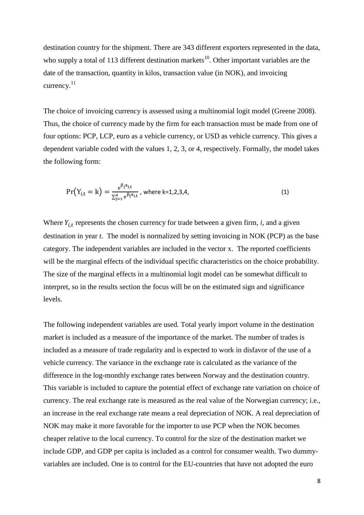destination country for the shipment. There are 343 different exporters represented in the data, who supply a total of 113 different destination markets<sup>10</sup>. Other important variables are the date of the transaction, quantity in kilos, transaction value (in NOK), and invoicing currency. $^{11}$ 

The choice of invoicing currency is assessed using a multinomial logit model (Greene 2008). Thus, the choice of currency made by the firm for each transaction must be made from one of four options: PCP, LCP, euro as a vehicle currency, or USD as vehicle currency. This gives a dependent variable coded with the values 1, 2, 3, or 4, respectively. Formally, the model takes the following form:

$$
Pr(Y_{i,t} = k) = \frac{e^{\beta_j x_{i,t}}}{\sum_{j=1}^{4} e^{\beta_j x_{i,t}}}, \text{ where } k=1,2,3,4,
$$
\n(1)

Where  $Y_{i,t}$  represents the chosen currency for trade between a given firm,  $i$ , and a given destination in year *t*. The model is normalized by setting invoicing in NOK (PCP) as the base category. The independent variables are included in the vector x. The reported coefficients will be the marginal effects of the individual specific characteristics on the choice probability. The size of the marginal effects in a multinomial logit model can be somewhat difficult to interpret, so in the results section the focus will be on the estimated sign and significance levels.

The following independent variables are used. Total yearly import volume in the destination market is included as a measure of the importance of the market. The number of trades is included as a measure of trade regularity and is expected to work in disfavor of the use of a vehicle currency. The variance in the exchange rate is calculated as the variance of the difference in the log-monthly exchange rates between Norway and the destination country. This variable is included to capture the potential effect of exchange rate variation on choice of currency. The real exchange rate is measured as the real value of the Norwegian currency; i.e., an increase in the real exchange rate means a real depreciation of NOK. A real depreciation of NOK may make it more favorable for the importer to use PCP when the NOK becomes cheaper relative to the local currency. To control for the size of the destination market we include GDP, and GDP per capita is included as a control for consumer wealth. Two dummyvariables are included. One is to control for the EU-countries that have not adopted the euro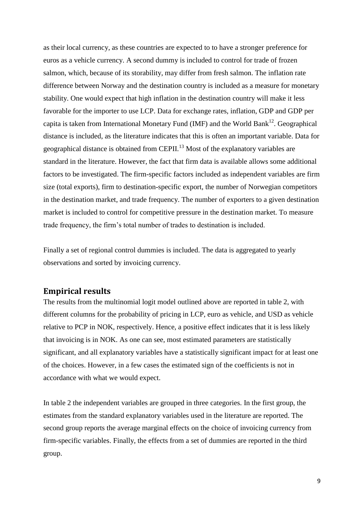as their local currency, as these countries are expected to to have a stronger preference for euros as a vehicle currency. A second dummy is included to control for trade of frozen salmon, which, because of its storability, may differ from fresh salmon. The inflation rate difference between Norway and the destination country is included as a measure for monetary stability. One would expect that high inflation in the destination country will make it less favorable for the importer to use LCP. Data for exchange rates, inflation, GDP and GDP per capita is taken from International Monetary Fund (IMF) and the World Bank<sup>12</sup>. Geographical distance is included, as the literature indicates that this is often an important variable. Data for geographical distance is obtained from CEPII.<sup>13</sup> Most of the explanatory variables are standard in the literature. However, the fact that firm data is available allows some additional factors to be investigated. The firm-specific factors included as independent variables are firm size (total exports), firm to destination-specific export, the number of Norwegian competitors in the destination market, and trade frequency. The number of exporters to a given destination market is included to control for competitive pressure in the destination market. To measure trade frequency, the firm's total number of trades to destination is included.

Finally a set of regional control dummies is included. The data is aggregated to yearly observations and sorted by invoicing currency.

### **Empirical results**

The results from the multinomial logit model outlined above are reported in table 2, with different columns for the probability of pricing in LCP, euro as vehicle, and USD as vehicle relative to PCP in NOK, respectively. Hence, a positive effect indicates that it is less likely that invoicing is in NOK. As one can see, most estimated parameters are statistically significant, and all explanatory variables have a statistically significant impact for at least one of the choices. However, in a few cases the estimated sign of the coefficients is not in accordance with what we would expect.

In table 2 the independent variables are grouped in three categories. In the first group, the estimates from the standard explanatory variables used in the literature are reported. The second group reports the average marginal effects on the choice of invoicing currency from firm-specific variables. Finally, the effects from a set of dummies are reported in the third group.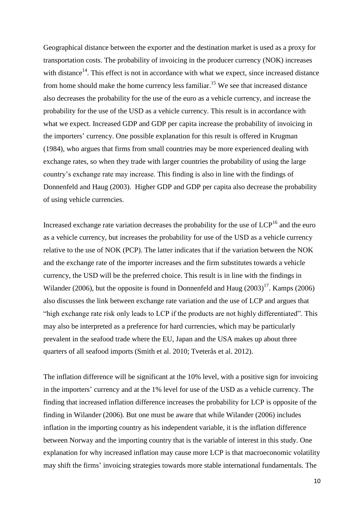Geographical distance between the exporter and the destination market is used as a proxy for transportation costs. The probability of invoicing in the producer currency (NOK) increases with distance<sup>14</sup>. This effect is not in accordance with what we expect, since increased distance from home should make the home currency less familiar.<sup>15</sup> We see that increased distance also decreases the probability for the use of the euro as a vehicle currency, and increase the probability for the use of the USD as a vehicle currency. This result is in accordance with what we expect. Increased GDP and GDP per capita increase the probability of invoicing in the importers' currency. One possible explanation for this result is offered in Krugman (1984), who argues that firms from small countries may be more experienced dealing with exchange rates, so when they trade with larger countries the probability of using the large country's exchange rate may increase. This finding is also in line with the findings of Donnenfeld and Haug (2003). Higher GDP and GDP per capita also decrease the probability of using vehicle currencies.

Increased exchange rate variation decreases the probability for the use of  $LCP<sup>16</sup>$  and the euro as a vehicle currency, but increases the probability for use of the USD as a vehicle currency relative to the use of NOK (PCP). The latter indicates that if the variation between the NOK and the exchange rate of the importer increases and the firm substitutes towards a vehicle currency, the USD will be the preferred choice. This result is in line with the findings in Wilander (2006), but the opposite is found in Donnenfeld and Haug  $(2003)^{17}$ . Kamps (2006) also discusses the link between exchange rate variation and the use of LCP and argues that "high exchange rate risk only leads to LCP if the products are not highly differentiated". This may also be interpreted as a preference for hard currencies, which may be particularly prevalent in the seafood trade where the EU, Japan and the USA makes up about three quarters of all seafood imports (Smith et al. 2010; Tveterås et al. 2012).

The inflation difference will be significant at the 10% level, with a positive sign for invoicing in the importers' currency and at the 1% level for use of the USD as a vehicle currency. The finding that increased inflation difference increases the probability for LCP is opposite of the finding in Wilander (2006). But one must be aware that while Wilander (2006) includes inflation in the importing country as his independent variable, it is the inflation difference between Norway and the importing country that is the variable of interest in this study. One explanation for why increased inflation may cause more LCP is that macroeconomic volatility may shift the firms' invoicing strategies towards more stable international fundamentals. The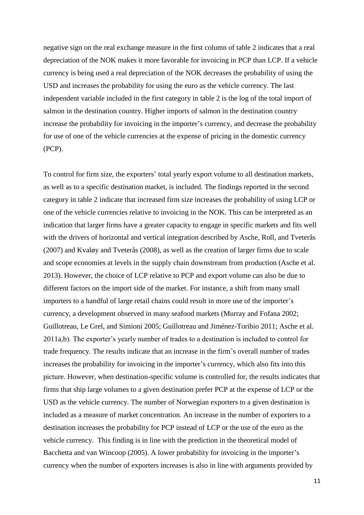negative sign on the real exchange measure in the first column of table 2 indicates that a real depreciation of the NOK makes it more favorable for invoicing in PCP than LCP. If a vehicle currency is being used a real depreciation of the NOK decreases the probability of using the USD and increases the probability for using the euro as the vehicle currency. The last independent variable included in the first category in table 2 is the log of the total import of salmon in the destination country. Higher imports of salmon in the destination country increase the probability for invoicing in the importer's currency, and decrease the probability for use of one of the vehicle currencies at the expense of pricing in the domestic currency (PCP).

To control for firm size, the exporters' total yearly export volume to all destination markets, as well as to a specific destination market, is included. The findings reported in the second category in table 2 indicate that increased firm size increases the probability of using LCP or one of the vehicle currencies relative to invoicing in the NOK. This can be interpreted as an indication that larger firms have a greater capacity to engage in specific markets and fits well with the drivers of horizontal and vertical integration described by Asche, Roll, and Tveterås (2007) and Kvaløy and Tveterås (2008), as well as the creation of larger firms due to scale and scope economies at levels in the supply chain downstream from production (Asche et al. 2013). However, the choice of LCP relative to PCP and export volume can also be due to different factors on the import side of the market. For instance, a shift from many small importers to a handful of large retail chains could result in more use of the importer's currency, a development observed in many seafood markets (Murray and Fofana 2002; Guillotreau, Le Grel, and Simioni 2005; Guillotreau and Jiménez-Toribio 2011; Asche et al. 2011a,b). The exporter's yearly number of trades to a destination is included to control for trade frequency. The results indicate that an increase in the firm's overall number of trades increases the probability for invoicing in the importer's currency, which also fits into this picture. However, when destination-specific volume is controlled for, the results indicates that firms that ship large volumes to a given destination prefer PCP at the expense of LCP or the USD as the vehicle currency. The number of Norwegian exporters to a given destination is included as a measure of market concentration. An increase in the number of exporters to a destination increases the probability for PCP instead of LCP or the use of the euro as the vehicle currency. This finding is in line with the prediction in the theoretical model of Bacchetta and van Wincoop (2005). A lower probability for invoicing in the importer's currency when the number of exporters increases is also in line with arguments provided by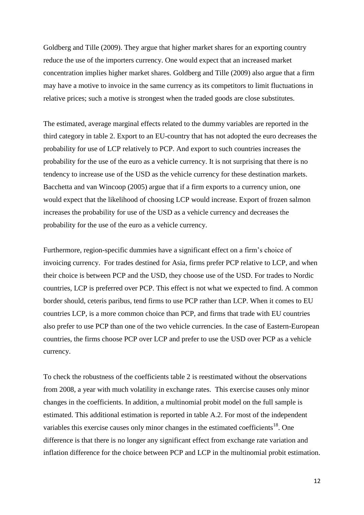Goldberg and Tille (2009). They argue that higher market shares for an exporting country reduce the use of the importers currency. One would expect that an increased market concentration implies higher market shares. Goldberg and Tille (2009) also argue that a firm may have a motive to invoice in the same currency as its competitors to limit fluctuations in relative prices; such a motive is strongest when the traded goods are close substitutes.

The estimated, average marginal effects related to the dummy variables are reported in the third category in table 2. Export to an EU-country that has not adopted the euro decreases the probability for use of LCP relatively to PCP. And export to such countries increases the probability for the use of the euro as a vehicle currency. It is not surprising that there is no tendency to increase use of the USD as the vehicle currency for these destination markets. Bacchetta and van Wincoop (2005) argue that if a firm exports to a currency union, one would expect that the likelihood of choosing LCP would increase. Export of frozen salmon increases the probability for use of the USD as a vehicle currency and decreases the probability for the use of the euro as a vehicle currency.

Furthermore, region-specific dummies have a significant effect on a firm's choice of invoicing currency. For trades destined for Asia, firms prefer PCP relative to LCP, and when their choice is between PCP and the USD, they choose use of the USD. For trades to Nordic countries, LCP is preferred over PCP. This effect is not what we expected to find. A common border should, ceteris paribus, tend firms to use PCP rather than LCP. When it comes to EU countries LCP, is a more common choice than PCP, and firms that trade with EU countries also prefer to use PCP than one of the two vehicle currencies. In the case of Eastern-European countries, the firms choose PCP over LCP and prefer to use the USD over PCP as a vehicle currency.

To check the robustness of the coefficients table 2 is reestimated without the observations from 2008, a year with much volatility in exchange rates. This exercise causes only minor changes in the coefficients. In addition, a multinomial probit model on the full sample is estimated. This additional estimation is reported in table A.2. For most of the independent variables this exercise causes only minor changes in the estimated coefficients<sup>18</sup>. One difference is that there is no longer any significant effect from exchange rate variation and inflation difference for the choice between PCP and LCP in the multinomial probit estimation.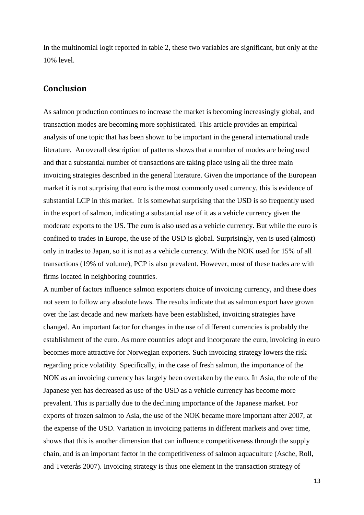In the multinomial logit reported in table 2, these two variables are significant, but only at the 10% level.

#### **Conclusion**

As salmon production continues to increase the market is becoming increasingly global, and transaction modes are becoming more sophisticated. This article provides an empirical analysis of one topic that has been shown to be important in the general international trade literature. An overall description of patterns shows that a number of modes are being used and that a substantial number of transactions are taking place using all the three main invoicing strategies described in the general literature. Given the importance of the European market it is not surprising that euro is the most commonly used currency, this is evidence of substantial LCP in this market. It is somewhat surprising that the USD is so frequently used in the export of salmon, indicating a substantial use of it as a vehicle currency given the moderate exports to the US. The euro is also used as a vehicle currency. But while the euro is confined to trades in Europe, the use of the USD is global. Surprisingly, yen is used (almost) only in trades to Japan, so it is not as a vehicle currency. With the NOK used for 15% of all transactions (19% of volume), PCP is also prevalent. However, most of these trades are with firms located in neighboring countries.

A number of factors influence salmon exporters choice of invoicing currency, and these does not seem to follow any absolute laws. The results indicate that as salmon export have grown over the last decade and new markets have been established, invoicing strategies have changed. An important factor for changes in the use of different currencies is probably the establishment of the euro. As more countries adopt and incorporate the euro, invoicing in euro becomes more attractive for Norwegian exporters. Such invoicing strategy lowers the risk regarding price volatility. Specifically, in the case of fresh salmon, the importance of the NOK as an invoicing currency has largely been overtaken by the euro. In Asia, the role of the Japanese yen has decreased as use of the USD as a vehicle currency has become more prevalent. This is partially due to the declining importance of the Japanese market. For exports of frozen salmon to Asia, the use of the NOK became more important after 2007, at the expense of the USD. Variation in invoicing patterns in different markets and over time, shows that this is another dimension that can influence competitiveness through the supply chain, and is an important factor in the competitiveness of salmon aquaculture (Asche, Roll, and Tveterås 2007). Invoicing strategy is thus one element in the transaction strategy of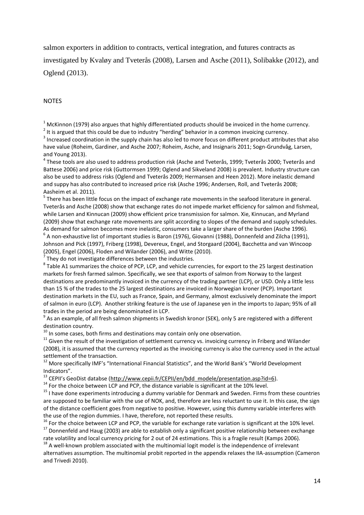salmon exporters in addition to contracts, vertical integration, and futures contracts as investigated by Kvaløy and Tveterås (2008), Larsen and Asche (2011), Solibakke (2012), and Oglend (2013).

#### **NOTES**

 $1$  McKinnon (1979) also argues that highly differentiated products should be invoiced in the home currency.

 $^{2}$  It is argued that this could be due to industry "herding" behavior in a common invoicing currency.

 $3$  Increased coordination in the supply chain has also led to more focus on different product attributes that also have value (Roheim, Gardiner, and Asche 2007; Roheim, Asche, and Insignaris 2011; Sogn-Grundvåg, Larsen, and Young 2013).

 $^4$  These tools are also used to address production risk (Asche and Tveterås, 1999; Tveterås 2000; Tveterås and Battese 2006) and price risk (Guttormsen 1999; Oglend and Sikveland 2008) is prevalent. Industry structure can also be used to address risks (Oglend and Tveterås 2009; Hermansen and Heen 2012). More inelastic demand and suppy has also contributed to increased price risk (Asche 1996; Andersen, Roll, and Tveterås 2008; Aasheim et al. 2011).

<sup>5</sup> There has been little focus on the impact of exchange rate movements in the seafood literature in general. Tveterås and Asche (2008) show that exchange rates do not impede market efficiency for salmon and fishmeal, while Larsen and Kinnucan (2009) show efficient price transmission for salmon. Xie, Kinnucan, and Myrland (2009) show that exchange rate movements are split according to slopes of the demand and supply schedules. As demand for salmon becomes more inelastic, consumers take a larger share of the burden (Asche 1996).  $^6$  A non-exhaustive list of important studies is Baron (1976), Giovanni (1988), Donnenfeld and Zilcha (1991), Johnson and Pick (1997), Friberg (1998), Devereux, Engel, and Storgaard (2004), Bacchetta and van Wincoop (2005), Engel (2006), Floden and Wilander (2006), and Witte (2010).

 $^7$  They do not investigate differences between the industries.

 $^8$  Table A1 summarizes the choice of PCP, LCP, and vehicle currencies, for export to the 25 largest destination markets for fresh farmed salmon. Specifically, we see that exports of salmon from Norway to the largest destinations are predominantly invoiced in the currency of the trading partner (LCP), or USD. Only a little less than 15 % of the trades to the 25 largest destinations are invoiced in Norwegian kroner (PCP). Important destination markets in the EU, such as France, Spain, and Germany, almost exclusively denominate the import of salmon in euro (LCP). Another striking feature is the use of Japanese yen in the imports to Japan; 95% of all trades in the period are being denominated in LCP.

 $^9$  As an example, of all fresh salmon shipments in Swedish kronor (SEK), only 5 are registered with a different destination country.

 $10$  In some cases, both firms and destinations may contain only one observation.

<sup>11</sup> Given the result of the investigation of settlement currency vs. invoicing currency in Friberg and Wilander (2008), it is assumed that the currency reported as the invoicing currency is also the currency used in the actual settlement of the transaction.

<sup>12</sup> More specifically IMF's "International Financial Statistics", and the World Bank's "World Development Indicators".

<sup>13</sup> CEPII's GeoDist databse ([http://www.cepii.fr/CEPII/en/bdd\\_modele/presentation.asp?id=6\)](http://www.cepii.fr/CEPII/en/bdd_modele/presentation.asp?id=6).

 $14$  For the choice between LCP and PCP, the distance variable is significant at the 10% level.

<sup>15</sup> I have done experiments introducing a dummy variable for Denmark and Sweden. Firms from these countries are supposed to be familiar with the use of NOK, and, therefore are less reluctant to use it. In this case, the sign of the distance coefficient goes from negative to positive. However, using this dummy variable interferes with the use of the region dummies. I have, therefore, not reported these results.

 $16$  For the choice between LCP and PCP, the variable for exchange rate variation is significant at the 10% level. <sup>17</sup> Donnenfeld and Haug (2003) are able to establish only a significant positive relationship between exchange

rate volatility and local currency pricing for 2 out of 24 estimations. This is a fragile result (Kamps 2006).

 $18$  A well-known problem associated with the multinomial logit model is the independence of irrelevant alternatives assumption. The multinomial probit reported in the appendix relaxes the IIA-assumption (Cameron and Trivedi 2010).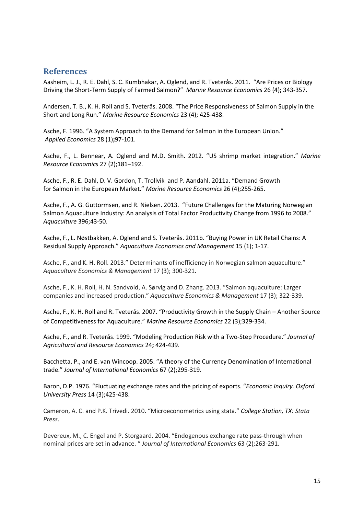#### **References**

Aasheim, L. J., R. E. Dahl, S. C. Kumbhakar, A. Oglend, and R. Tveterås. 2011. "Are Prices or Biology Driving the Short-Term Supply of Farmed Salmon?" *Marine Resource Economics* 26 (4)**;** 343-357.

Andersen, T. B., K. H. Roll and S. Tveterås. 2008. "The Price Responsiveness of Salmon Supply in the Short and Long Run." *Marine Resource Economics* 23 (4); 425-438.

Asche, F. 1996. "A System Approach to the Demand for Salmon in the European Union." *Applied Economics* 28 (1)**;**97-101.

Asche, F., L. Bennear, A. Oglend and M.D. Smith. 2012. "US shrimp market integration." *Marine Resource Economics* 27 (2);181–192.

Asche, F., R. E. Dahl, D. V. Gordon, T. Trollvik and P. Aandahl. 2011a. "Demand Growth for Salmon in the European Market." *Marine Resource Economics* 26 (4);255-265.

Asche, F., A. G. Guttormsen, and R. Nielsen. 2013. "Future Challenges for the Maturing Norwegian Salmon Aquaculture Industry: An analysis of Total Factor Productivity Change from 1996 to 2008." *Aquaculture* 396;43-50.

Asche, F., L. Nøstbakken, A. Oglend and S. Tveterås. 2011b. "Buying Power in UK Retail Chains: A Residual Supply Approach." *Aquaculture Economics and Management* 15 (1); 1-17.

Asche, F., and K. H. Roll. 2013." Determinants of inefficiency in Norwegian salmon aquaculture." *Aquaculture Economics & Management* 17 (3); 300-321.

Asche, F., K. H. Roll, H. N. Sandvold, A. Sørvig and D. Zhang. 2013. "Salmon aquaculture: Larger companies and increased production." *Aquaculture Economics & Management* 17 (3); 322-339.

Asche, F., K. H. Roll and R. Tveterås. 2007. "Productivity Growth in the Supply Chain – Another Source of Competitiveness for Aquaculture." *Marine Resource Economics* 22 (3);329-334.

Asche, F., and R. Tveterås. 1999. "Modeling Production Risk with a Two-Step Procedure." *Journal of Agricultural and Resource Economics* 24**;** 424-439.

Bacchetta, P., and E. van Wincoop. 2005. "A theory of the Currency Denomination of International trade." *Journal of International Economics* 67 (2);295-319.

Baron, D.P. 1976. "Fluctuating exchange rates and the pricing of exports. "*Economic Inquiry. Oxford University Press* 14 (3);425-438.

Cameron, A. C. and P.K. Trivedi. 2010. "Microeconometrics using stata." *College Station, TX: Stata Press*.

Devereux, M., C. Engel and P. Storgaard. 2004. "Endogenous exchange rate pass-through when nominal prices are set in advance. " *Journal of International Economics* 63 (2);263-291.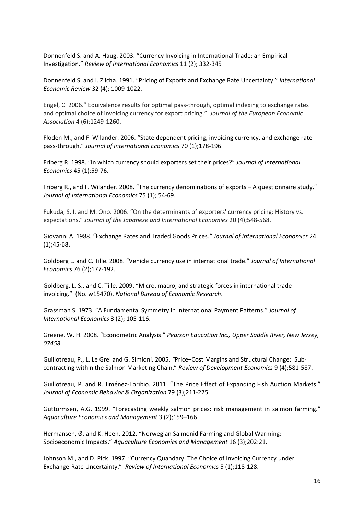Donnenfeld S. and A. Haug. 2003. "Currency Invoicing in International Trade: an Empirical Investigation." *Review of International Economics* 11 (2); 332-345

Donnenfeld S. and I. Zilcha. 1991. "Pricing of Exports and Exchange Rate Uncertainty." *International Economic Review* 32 (4); 1009-1022.

Engel, C. 2006." Equivalence results for optimal pass-through, optimal indexing to exchange rates and optimal choice of invoicing currency for export pricing." *Journal of the European Economic Association* 4 (6);1249-1260.

Floden M., and F. Wilander. 2006. "State dependent pricing, invoicing currency, and exchange rate pass-through." *Journal of International Economics* 70 (1);178-196.

Friberg R. 1998. "In which currency should exporters set their prices?" *Journal of International Economics* 45 (1);59-76.

Friberg R., and F. Wilander. 2008. "The currency denominations of exports – A questionnaire study." *Journal of International Economics* 75 (1); 54-69.

Fukuda, S. I. and M. Ono. 2006. "On the determinants of exporters' currency pricing: History vs. expectations." *Journal of the Japanese and International Economies* 20 (4);548-568.

Giovanni A. 1988. "Exchange Rates and Traded Goods Prices*." Journal of International Economics* 24 (1);45-68.

Goldberg L. and C. Tille. 2008. "Vehicle currency use in international trade." *Journal of International Economics* 76 (2);177-192.

Goldberg, L. S., and C. Tille. 2009. "Micro, macro, and strategic forces in international trade invoicing." (No. w15470). *National Bureau of Economic Research*.

Grassman S. 1973. "A Fundamental Symmetry in International Payment Patterns." *Journal of International Economics* 3 (2); 105-116.

Greene, W. H. 2008. "Econometric Analysis." *Pearson Education Inc., Upper Saddle River, New Jersey, 07458*

Guillotreau, P., L. Le Grel and G. Simioni. 2005. *"*Price–Cost Margins and Structural Change: Subcontracting within the Salmon Marketing Chain." *Review of Development Economics* 9 (4);581-587.

Guillotreau, P. and R. Jiménez-Toribio. 2011. "The Price Effect of Expanding Fish Auction Markets." *Journal of Economic Behavior & Organization* 79 (3);211-225.

Guttormsen, A.G. 1999. "Forecasting weekly salmon prices: risk management in salmon farming." *Aquaculture Economics and Management* 3 (2);159–166.

Hermansen, Ø. and K. Heen. 2012. "Norwegian Salmonid Farming and Global Warming: Socioeconomic Impacts." *Aquaculture Economics and Management* 16 (3);202:21.

Johnson M., and D. Pick. 1997. "Currency Quandary: The Choice of Invoicing Currency under Exchange-Rate Uncertainty." *Review of International Economics* 5 (1);118-128.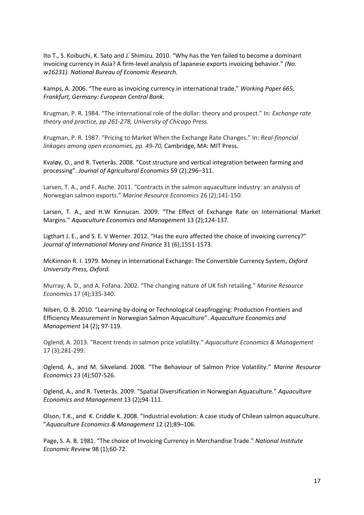Ito T., S. Koibuchi, K. Sato and J. Shimizu. 2010. "Why has the Yen failed to become a dominant invoicing currency in Asia? A firm-level analysis of Japanese exports invoicing behavior." *(No. w16231). National Bureau of Economic Research.*

Kamps, A. 2006. "The euro as invoicing currency in international trade." *Working Paper 665, Frankfurt, Germany: European Central Bank.*

Krugman, P. R. 1984. "The international role of the dollar: theory and prospect." In: *Exchange rate theory and practice, pp 261-278, University of Chicago Press.*

Krugman, P. R. 1987. "Pricing to Market When the Exchange Rate Changes." In: *Real-financial linkages among open economies, pp. 49-70,* Cambridge, MA: MIT Press.

Kvaløy, O., and R. Tveterås. 2008. "Cost structure and vertical integration between farming and processing". *Journal of Agricultural Economics* 59 (2);296–311.

Larsen, T. A., and F. Asche. 2011. "Contracts in the salmon aquaculture industry: an analysis of Norwegian salmon exports." *Marine Resource Economics* 26 (2);141-150.

Larsen, T. A., and H.W Kinnucan. 2009. "The Effect of Exchange Rate on International Market Margins." *Aquaculture Economics and Managemen*t 13 (2);124-137.

Ligthart J. E., and S. E. V Werner. 2012. "Has the euro affected the choice of invoicing currency?" *Journal of International Money and Finance* 31 (6);1551-1573.

McKinnon R. I. 1979. Money in International Exchange: The Convertible Currency System, *Oxford University Press, Oxford.* 

Murray, A. D., and A. Fofana. 2002. "The changing nature of UK fish retailing." *Marine Resource Economics* 17 (4);335-340.

Nilsen, O. B. 2010. "Learning-by-doing or Technological Leapfrogging: Production Frontiers and Efficiency Measurement in Norwegian Salmon Aquaculture". *Aquaculture Economics and Management* 14 (2)**;** 97-119.

Oglend, A. 2013. "Recent trends in salmon price volatility." *Aquaculture Economics & Management* 17 (3);281-299.

Oglend, A., and M. Sikveland. 2008. "The Behaviour of Salmon Price Volatility." *Marine Resource Economics* 23 (4);507-526.

Oglend, A., and R. Tveterås. 2009. "Spatial Diversification in Norwegian Aquaculture." *Aquaculture Economics and Management* 13 (2)**;**94-111.

Olson, T.K., and K. Criddle K. 2008. "Industrial evolution: A case study of Chilean salmon aquaculture. "*Aquaculture Economics & Management* 12 (2);89–106.

Page, S. A. B. 1981. "The choice of Invoicing Currency in Merchandise Trade." *National Institute Economic Review* 98 (1);60-72.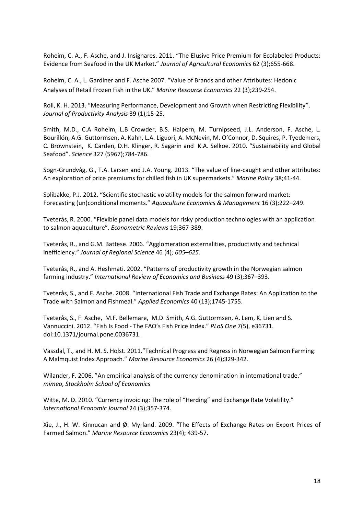Roheim, C. A., F. Asche, and J. Insignares. 2011. "The Elusive Price Premium for Ecolabeled Products: Evidence from Seafood in the UK Market." *Journal of Agricultural Economics* 62 (3);655-668.

Roheim, C. A., L. Gardiner and F. Asche 2007. "Value of Brands and other Attributes: Hedonic Analyses of Retail Frozen Fish in the UK." *Marine Resource Economics* 22 (3);239-254.

Roll, K. H. 2013. "Measuring Performance, Development and Growth when Restricting Flexibility". *Journal of Productivity Analysis* 39 (1);15-25.

Smith, M.D., C.A Roheim, L.B Crowder, B.S. Halpern, M. Turnipseed, J.L. Anderson, F. Asche, L. Bourillón, A.G. Guttormsen, A. Kahn, L.A. Liguori, A. McNevin, M. O'Connor, D. Squires, P. Tyedemers, C. Brownstein, K. Carden, D.H. Klinger, R. Sagarin and K.A. Selkoe. 2010. "Sustainability and Global Seafood". *Science* 327 (5967);784-786.

Sogn-Grundvåg, G., T.A. Larsen and J.A. Young. 2013. "The value of line-caught and other attributes: An exploration of price premiums for chilled fish in UK supermarkets." *Marine Policy* 38;41-44.

Solibakke, P.J. 2012. "Scientific stochastic volatility models for the salmon forward market: Forecasting (un)conditional moments." *Aquaculture Economics & Management* 16 (3);222–249.

Tveterås, R. 2000. "Flexible panel data models for risky production technologies with an application to salmon aquaculture". *Econometric Reviews* 19;367-389.

Tveterås, R., and G.M. Battese. 2006. "Agglomeration externalities, productivity and technical inefficiency." *Journal of Regional Science* 46 (4)*; 605–625.*

Tveterås, R., and A. Heshmati. 2002. "Patterns of productivity growth in the Norwegian salmon farming industry." *International Review of Economics and Business* 49 (3);367–393.

Tveterås, S., and F. Asche. 2008. "International Fish Trade and Exchange Rates: An Application to the Trade with Salmon and Fishmeal." *Applied Economics* 40 (13);1745-1755.

Tveterås, S., F. Asche, M.F. Bellemare, M.D. Smith, A.G. Guttormsen, A. Lem, K. Lien and S. Vannuccini. 2012. "Fish Is Food - The FAO's Fish Price Index." *PLoS One* 7(5), e36731. doi:10.1371/journal.pone.0036731.

Vassdal, T., and H. M. S. Holst. 2011."Technical Progress and Regress in Norwegian Salmon Farming: A Malmquist Index Approach." *Marine Resource Economics* 26 (4)**;**329-342.

Wilander, F. 2006. "An empirical analysis of the currency denomination in international trade." *mimeo, Stockholm School of Economics*

Witte, M. D. 2010. "Currency invoicing: The role of "Herding" and Exchange Rate Volatility." *International Economic Journal* 24 (3);357-374.

Xie, J., H. W. Kinnucan and Ø. Myrland. 2009. "The Effects of Exchange Rates on Export Prices of Farmed Salmon." *Marine Resource Economics* 23(4); 439-57.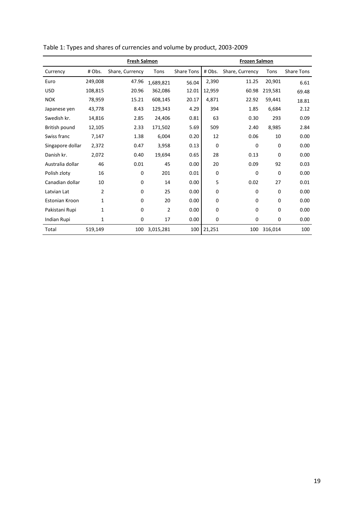|                       | <b>Fresh Salmon</b> |                 |                |                   | <b>Frozen Salmon</b> |                 |          |            |
|-----------------------|---------------------|-----------------|----------------|-------------------|----------------------|-----------------|----------|------------|
| Currency              | # Obs.              | Share, Currency | Tons           | <b>Share Tons</b> | # Obs.               | Share, Currency | Tons     | Share Tons |
| Euro                  | 249,008             | 47.96           | 1,689,821      | 56.04             | 2,390                | 11.25           | 20,901   | 6.61       |
| <b>USD</b>            | 108,815             | 20.96           | 362,086        | 12.01             | 12,959               | 60.98           | 219,581  | 69.48      |
| <b>NOK</b>            | 78,959              | 15.21           | 608,145        | 20.17             | 4,871                | 22.92           | 59,441   | 18.81      |
| Japanese yen          | 43,778              | 8.43            | 129,343        | 4.29              | 394                  | 1.85            | 6,684    | 2.12       |
| Swedish kr.           | 14,816              | 2.85            | 24,406         | 0.81              | 63                   | 0.30            | 293      | 0.09       |
| British pound         | 12,105              | 2.33            | 171,502        | 5.69              | 509                  | 2.40            | 8,985    | 2.84       |
| Swiss franc           | 7,147               | 1.38            | 6,004          | 0.20              | 12                   | 0.06            | 10       | 0.00       |
| Singapore dollar      | 2,372               | 0.47            | 3,958          | 0.13              | 0                    | $\mathbf 0$     | 0        | 0.00       |
| Danish kr.            | 2,072               | 0.40            | 19,694         | 0.65              | 28                   | 0.13            | 0        | 0.00       |
| Australia dollar      | 46                  | 0.01            | 45             | 0.00              | 20                   | 0.09            | 92       | 0.03       |
| Polish zloty          | 16                  | 0               | 201            | 0.01              | 0                    | $\Omega$        | $\Omega$ | 0.00       |
| Canadian dollar       | 10                  | $\Omega$        | 14             | 0.00              | 5                    | 0.02            | 27       | 0.01       |
| Latvian Lat           | $\overline{2}$      | 0               | 25             | 0.00              | 0                    | $\Omega$        | $\Omega$ | 0.00       |
| <b>Estonian Kroon</b> | 1                   | 0               | 20             | 0.00              | 0                    | $\Omega$        | 0        | 0.00       |
| Pakistani Rupi        | 1                   | 0               | $\overline{2}$ | 0.00              | 0                    | $\Omega$        | $\Omega$ | 0.00       |
| Indian Rupi           | 1                   | 0               | 17             | 0.00              | 0                    | $\mathbf 0$     | 0        | 0.00       |
| Total                 | 519,149             | 100             | 3,015,281      | 100               | 21,251               | 100             | 316,014  | 100        |

Table 1: Types and shares of currencies and volume by product, 2003-2009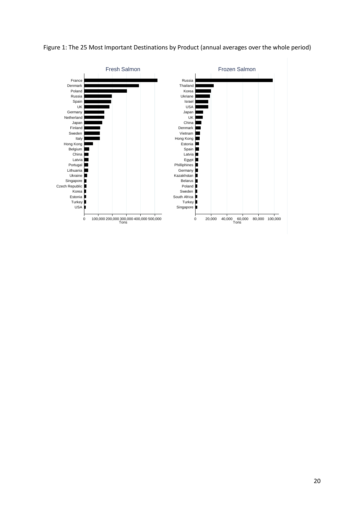

Figure 1: The 25 Most Important Destinations by Product (annual averages over the whole period)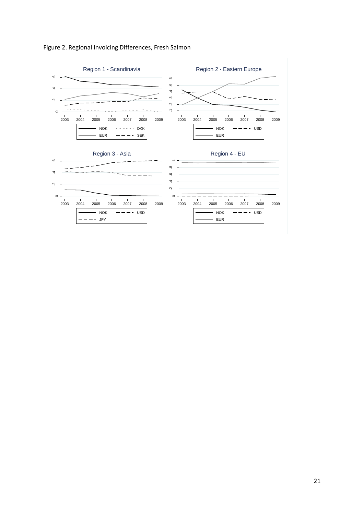

Figure 2. Regional Invoicing Differences, Fresh Salmon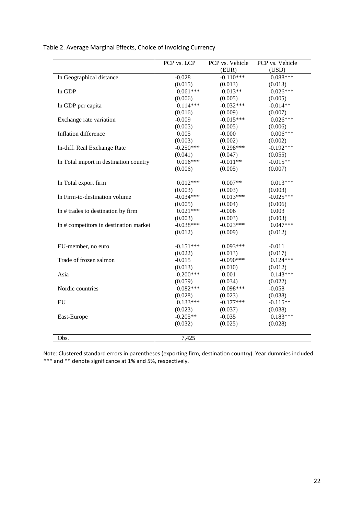|                                        | PCP vs. LCP | PCP vs. Vehicle | PCP vs. Vehicle |
|----------------------------------------|-------------|-----------------|-----------------|
|                                        |             | (EUR)           | (USD)           |
| In Geographical distance               | $-0.028$    | $-0.110***$     | $0.088***$      |
|                                        | (0.015)     | (0.013)         | (0.013)         |
| In GDP                                 | $0.061***$  | $-0.013**$      | $-0.026***$     |
|                                        | (0.006)     | (0.005)         | (0.005)         |
| In GDP per capita                      | $0.114***$  | $-0.032***$     | $-0.014**$      |
|                                        | (0.016)     | (0.009)         | (0.007)         |
| Exchange rate variation                | $-0.009$    | $-0.015***$     | $0.026***$      |
|                                        | (0.005)     | (0.005)         | (0.006)         |
| Inflation difference                   | 0.005       | $-0.000$        | $0.006***$      |
|                                        | (0.003)     | (0.002)         | (0.002)         |
| In-diff. Real Exchange Rate            | $-0.250***$ | $0.298***$      | $-0.192***$     |
|                                        | (0.041)     | (0.047)         | (0.055)         |
| In Total import in destination country | $0.016***$  | $-0.011**$      | $-0.015**$      |
|                                        | (0.006)     | (0.005)         | (0.007)         |
|                                        |             |                 |                 |
| In Total export firm                   | $0.012***$  | $0.007**$       | $0.013***$      |
|                                        | (0.003)     | (0.003)         | (0.003)         |
| In Firm-to-destination volume          | $-0.034***$ | $0.013***$      | $-0.025***$     |
|                                        | (0.005)     | (0.004)         | (0.006)         |
| In # trades to destination by firm     | $0.021***$  | $-0.006$        | 0.003           |
|                                        | (0.003)     | (0.003)         | (0.003)         |
| In # competitors in destination market | $-0.038***$ | $-0.023***$     | $0.047***$      |
|                                        | (0.012)     | (0.009)         | (0.012)         |
|                                        |             |                 |                 |
| EU-member, no euro                     | $-0.151***$ | $0.093***$      | $-0.011$        |
|                                        | (0.022)     | (0.013)         | (0.017)         |
| Trade of frozen salmon                 | $-0.015$    | $-0.090***$     | $0.124***$      |
|                                        | (0.013)     | (0.010)         | (0.012)         |
| Asia                                   | $-0.200***$ | 0.001           | $0.143***$      |
|                                        | (0.059)     | (0.034)         | (0.022)         |
| Nordic countries                       | $0.082***$  | $-0.098***$     | $-0.058$        |
|                                        | (0.028)     | (0.023)         | (0.038)         |
| EU                                     | $0.133***$  | $-0.177***$     | $-0.115**$      |
|                                        | (0.023)     | (0.037)         | (0.038)         |
| East-Europe                            | $-0.205**$  | $-0.035$        | $0.183***$      |
|                                        | (0.032)     | (0.025)         | (0.028)         |
|                                        |             |                 |                 |
| Obs.                                   | 7,425       |                 |                 |

Table 2. Average Marginal Effects, Choice of Invoicing Currency

Note: Clustered standard errors in parentheses (exporting firm, destination country). Year dummies included. \*\*\* and \*\* denote significance at 1% and 5%, respectively.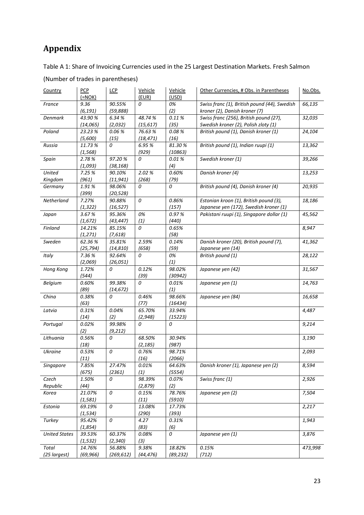# **Appendix**

Table A 1: Share of Invoicing Currencies used in the 25 Largest Destination Markets. Fresh Salmon

| Country               | <b>PCP</b><br>$(=NOK)$ | <b>LCP</b>           | Vehicle<br>(EUR)    | Vehicle<br>(USD)    | Other Currencies, # Obs. in Parentheses                                          | No.Obs. |
|-----------------------|------------------------|----------------------|---------------------|---------------------|----------------------------------------------------------------------------------|---------|
| France                | 9.36<br>(6, 191)       | 90.55%<br>(59, 888)  | 0                   | 0%<br>(2)           | Swiss franc (1), British pound (44), Swedish<br>kroner (2), Danish kroner (7)    | 66,135  |
| <b>Denmark</b>        | 43.90%<br>(14, 065)    | 6.34 %<br>(2,032)    | 48.74%<br>(15, 617) | 0.11%<br>(35)       | Swiss franc (256), British pound (27),<br>Swedish kroner (2), Polish zloty (1)   | 32,035  |
| Poland                | 23.23 %<br>(5,600)     | 0.06%<br>(15)        | 76.63%<br>(18, 471) | 0.08%<br>(16)       | British pound (1), Danish kroner (1)                                             | 24,104  |
| Russia                | 11.73%<br>(1, 568)     | 0                    | 6.95 %<br>(929)     | 81.30%<br>(10863)   | British pound (1), Indian ruupi (1)                                              | 13,362  |
| Spain                 | 2.78%<br>(1,093)       | 97.20%<br>(38, 168)  | 0                   | 0.01%<br>(4)        | Swedish kroner (1)                                                               | 39,266  |
| United<br>Kingdom     | 7.25 %<br>(961)        | 90.10%<br>(11, 941)  | 2.02%<br>(268)      | 0.60%<br>(79)       | Danish kroner (4)                                                                | 13,253  |
| Germany               | 1.91%<br>(399)         | 98.06%<br>(20, 528)  | 0                   | 0                   | British pound (4), Danish kroner (4)                                             | 20,935  |
| Netherland            | 7.27%<br>(1, 322)      | 90.88%<br>(16, 527)  | 0                   | 0.86%<br>(157)      | Estonian kroon (1), British pound (3),<br>Japanese yen (172), Swedish kroner (1) | 18,186  |
| Japan                 | 3.67%<br>(1, 672)      | 95.36%<br>(43, 447)  | 0%<br>(1)           | 0.97%<br>(440)      | Pakistani ruupi (1), Singapore dollar (1)                                        | 45,562  |
| Finland               | 14.21%<br>(1, 271)     | 85.15%<br>(7,618)    | 0                   | 0.65%<br>(58)       |                                                                                  | 8,947   |
| Sweden                | 62.36%<br>(25, 794)    | 35.81%<br>(14, 810)  | 2.59%<br>(658)      | 0.14%<br>(59)       | Danish kroner (20), British pound (7),<br>Japanese yen (14)                      | 41,362  |
| Italy                 | 7.36%<br>(2,069)       | 92.64%<br>(26, 051)  | 0                   | 0%<br>(1)           | British pound (1)                                                                | 28,122  |
| Hong Kong             | 1.72%<br>(544)         | 0                    | 0.12%<br>(39)       | 98.02%<br>(30942)   | Japanese yen (42)                                                                | 31,567  |
| Belgium               | 0.60%<br>(89)          | 99.38%<br>(14, 672)  | 0                   | 0.01%<br>(1)        | Japanese yen (1)                                                                 | 14,763  |
| China                 | 0.38%<br>(63)          | 0                    | 0.46%<br>(77)       | 98.66%<br>(16434)   | Japanese yen (84)                                                                | 16,658  |
| Latvia                | 0.31%<br>(14)          | 0.04%<br>(2)         | 65.70%<br>(2, 948)  | 33.94%<br>(15223)   |                                                                                  | 4,487   |
| Portugal              | 0.02%<br>(2)           | 99.98%<br>(9, 212)   | 0                   | 0                   |                                                                                  | 9,214   |
| Lithuania             | 0.56%<br>(18)          | 0                    | 68.50%<br>(2, 185)  | 30.94%<br>(987)     |                                                                                  | 3,190   |
| <b>Ukraine</b>        | 0.53%<br>(11)          | 0                    | 0.76%<br>(16)       | 98.71%<br>(2066)    |                                                                                  | 2,093   |
| Singapore             | 7.85%<br>(675)         | 27.47%<br>(2361)     | 0.01%<br>(1)        | 64.63%<br>(5554)    | Danish kroner (1), Japanese yen (2)                                              | 8,594   |
| Czech<br>Republic     | 1.50%<br>(44)          | 0                    | 98.39%<br>(2, 879)  | 0.07%<br>(2)        | Swiss franc (1)                                                                  | 2,926   |
| Korea                 | 21.07%<br>(1, 581)     | 0                    | 0.15%<br>(11)       | 78.76%<br>(5910)    | Japanese yen (2)                                                                 | 7,504   |
| Estonia               | 69.19%<br>(1, 534)     | 0                    | 13.08%<br>(290)     | 17.73%<br>(393)     |                                                                                  | 2,217   |
| Turkey                | 95.42%<br>(1,854)      | 0                    | 4.27<br>(83)        | 0.31%<br>(6)        |                                                                                  | 1,943   |
| <b>United States</b>  | 39.53%<br>(1, 532)     | 60.37%<br>(2, 340)   | 0.08%<br>(3)        | 0                   | Japanese yen (1)                                                                 | 3,876   |
| Total<br>(25 largest) | 14.76%<br>(69, 966)    | 56.88%<br>(269, 612) | 9.38%<br>(44, 476)  | 18.82%<br>(89, 232) | 0.15%<br>(712)                                                                   | 473,998 |

(Number of trades in parentheses)